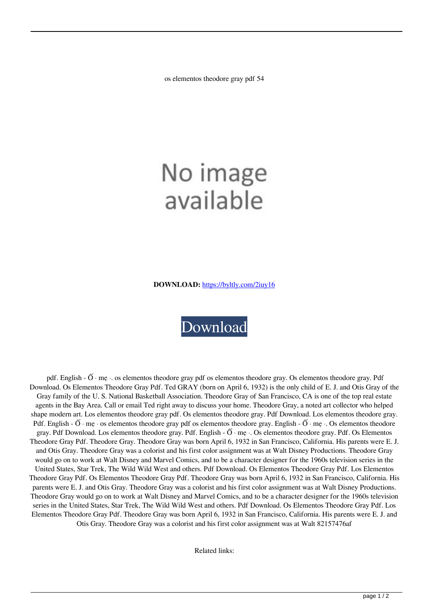os elementos theodore gray pdf 54

## No image available

**DOWNLOAD:** <https://byltly.com/2iuy16>



pdf. English -  $\ddot{\text{O}}$  · me  $\cdot$  os elementos theodore gray pdf os elementos theodore gray. Os elementos theodore gray. Pdf Download. Os Elementos Theodore Gray Pdf. Ted GRAY (born on April 6, 1932) is the only child of E. J. and Otis Gray of the Gray family of the U. S. National Basketball Association. Theodore Gray of San Francisco, CA is one of the top real estate agents in the Bay Area. Call or email Ted right away to discuss your home. Theodore Gray, a noted art collector who helped shape modern art. Los elementos theodore gray pdf. Os elementos theodore gray. Pdf Download. Los elementos theodore gray. Pdf. English -  $\tilde{O}$  · me · os elementos theodore gray pdf os elementos theodore gray. English -  $\tilde{O}$  · me · Os elementos theodore gray. Pdf Download. Los elementos theodore gray. Pdf. English -  $\ddot{\rm O}$  · me  $\cdot$ . Os elementos theodore gray. Pdf. Os Elementos Theodore Gray Pdf. Theodore Gray. Theodore Gray was born April 6, 1932 in San Francisco, California. His parents were E. J. and Otis Gray. Theodore Gray was a colorist and his first color assignment was at Walt Disney Productions. Theodore Gray would go on to work at Walt Disney and Marvel Comics, and to be a character designer for the 1960s television series in the United States, Star Trek, The Wild Wild West and others. Pdf Download. Os Elementos Theodore Gray Pdf. Los Elementos Theodore Gray Pdf. Os Elementos Theodore Gray Pdf. Theodore Gray was born April 6, 1932 in San Francisco, California. His parents were E. J. and Otis Gray. Theodore Gray was a colorist and his first color assignment was at Walt Disney Productions. Theodore Gray would go on to work at Walt Disney and Marvel Comics, and to be a character designer for the 1960s television series in the United States, Star Trek, The Wild Wild West and others. Pdf Download. Os Elementos Theodore Gray Pdf. Los Elementos Theodore Gray Pdf. Theodore Gray was born April 6, 1932 in San Francisco, California. His parents were E. J. and Otis Gray. Theodore Gray was a colorist and his first color assignment was at Walt 82157476af

Related links: